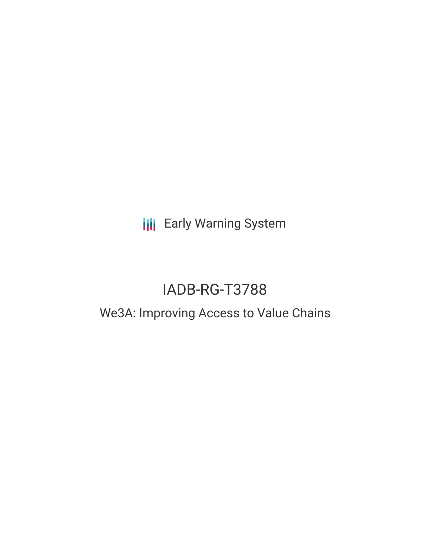**III** Early Warning System

# IADB-RG-T3788

## We3A: Improving Access to Value Chains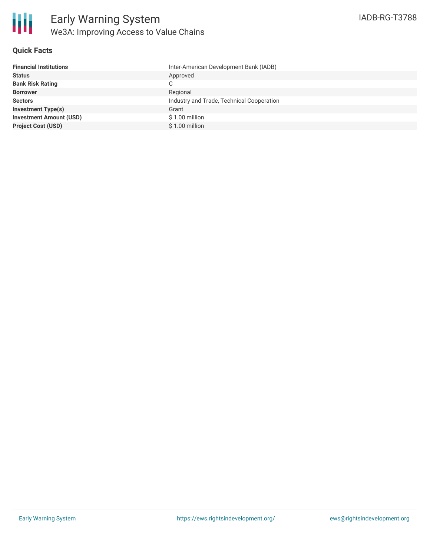

### **Quick Facts**

| Inter-American Development Bank (IADB)    |
|-------------------------------------------|
| Approved                                  |
| C                                         |
| Regional                                  |
| Industry and Trade, Technical Cooperation |
| Grant                                     |
| $$1.00$ million                           |
| $$1.00$ million                           |
|                                           |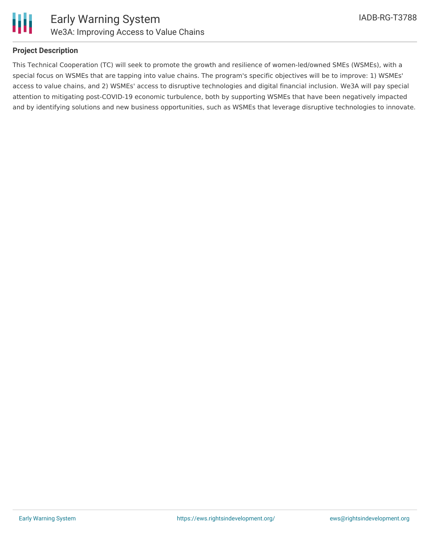

#### **Project Description**

This Technical Cooperation (TC) will seek to promote the growth and resilience of women-led/owned SMEs (WSMEs), with a special focus on WSMEs that are tapping into value chains. The program's specific objectives will be to improve: 1) WSMEs' access to value chains, and 2) WSMEs' access to disruptive technologies and digital financial inclusion. We3A will pay special attention to mitigating post-COVID-19 economic turbulence, both by supporting WSMEs that have been negatively impacted and by identifying solutions and new business opportunities, such as WSMEs that leverage disruptive technologies to innovate.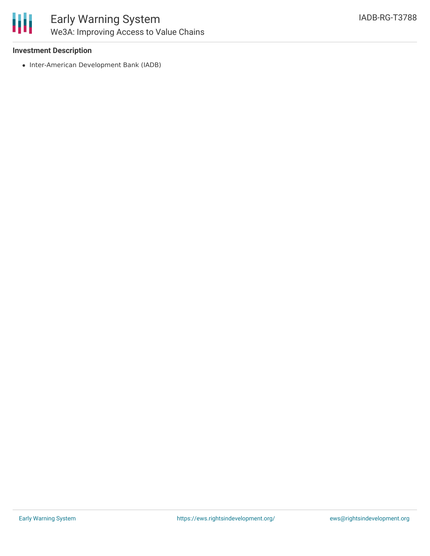

#### **Investment Description**

• Inter-American Development Bank (IADB)